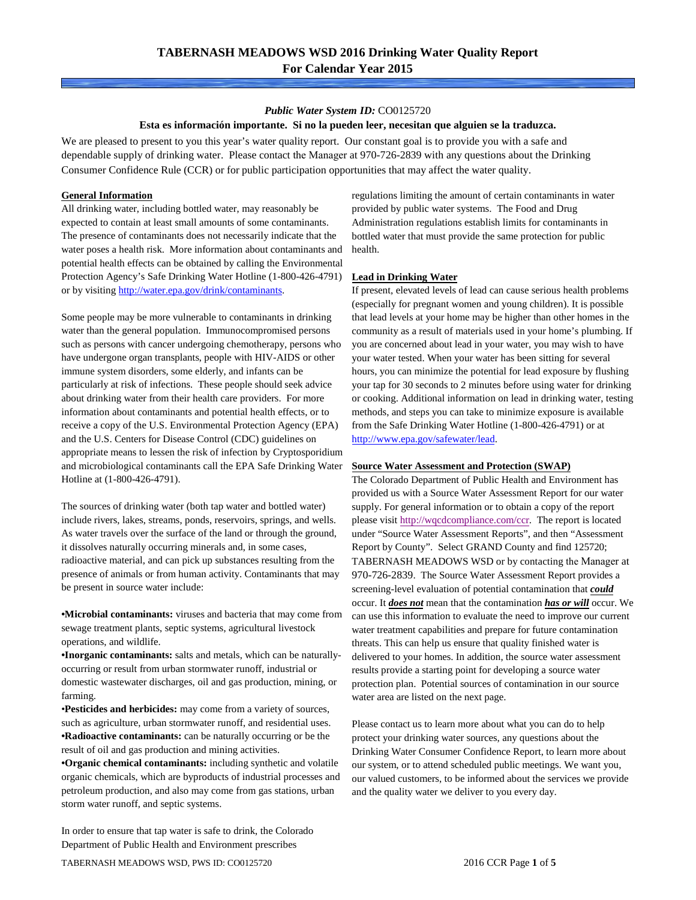### *Public Water System ID:* CO0125720

### **Esta es información importante. Si no la pueden leer, necesitan que alguien se la traduzca.**

We are pleased to present to you this year's water quality report. Our constant goal is to provide you with a safe and dependable supply of drinking water. Please contact the Manager at 970-726-2839 with any questions about the Drinking Consumer Confidence Rule (CCR) or for public participation opportunities that may affect the water quality.

#### **General Information**

All drinking water, including bottled water, may reasonably be expected to contain at least small amounts of some contaminants. The presence of contaminants does not necessarily indicate that the water poses a health risk. More information about contaminants and potential health effects can be obtained by calling the Environmental Protection Agency's Safe Drinking Water Hotline (1-800-426-4791) or by visiting [http://water.epa.gov/drink/contaminants.](http://water.epa.gov/drink/contaminants)

Some people may be more vulnerable to contaminants in drinking water than the general population. Immunocompromised persons such as persons with cancer undergoing chemotherapy, persons who have undergone organ transplants, people with HIV-AIDS or other immune system disorders, some elderly, and infants can be particularly at risk of infections. These people should seek advice about drinking water from their health care providers. For more information about contaminants and potential health effects, or to receive a copy of the U.S. Environmental Protection Agency (EPA) and the U.S. Centers for Disease Control (CDC) guidelines on appropriate means to lessen the risk of infection by Cryptosporidium and microbiological contaminants call the EPA Safe Drinking Water Hotline at (1-800-426-4791).

The sources of drinking water (both tap water and bottled water) include rivers, lakes, streams, ponds, reservoirs, springs, and wells. As water travels over the surface of the land or through the ground, it dissolves naturally occurring minerals and, in some cases, radioactive material, and can pick up substances resulting from the presence of animals or from human activity. Contaminants that may be present in source water include:

**•Microbial contaminants:** viruses and bacteria that may come from sewage treatment plants, septic systems, agricultural livestock operations, and wildlife.

**•Inorganic contaminants:** salts and metals, which can be naturallyoccurring or result from urban stormwater runoff, industrial or domestic wastewater discharges, oil and gas production, mining, or farming.

•**Pesticides and herbicides:** may come from a variety of sources, such as agriculture, urban stormwater runoff, and residential uses. **•Radioactive contaminants:** can be naturally occurring or be the result of oil and gas production and mining activities.

**•Organic chemical contaminants:** including synthetic and volatile organic chemicals, which are byproducts of industrial processes and petroleum production, and also may come from gas stations, urban storm water runoff, and septic systems.

In order to ensure that tap water is safe to drink, the Colorado Department of Public Health and Environment prescribes

regulations limiting the amount of certain contaminants in water provided by public water systems. The Food and Drug Administration regulations establish limits for contaminants in bottled water that must provide the same protection for public health.

#### **Lead in Drinking Water**

If present, elevated levels of lead can cause serious health problems (especially for pregnant women and young children). It is possible that lead levels at your home may be higher than other homes in the community as a result of materials used in your home's plumbing. If you are concerned about lead in your water, you may wish to have your water tested. When your water has been sitting for several hours, you can minimize the potential for lead exposure by flushing your tap for 30 seconds to 2 minutes before using water for drinking or cooking. Additional information on lead in drinking water, testing methods, and steps you can take to minimize exposure is available from the Safe Drinking Water Hotline (1-800-426-4791) or at [http://www.epa.gov/safewater/lead.](http://www.epa.gov/safewater/lead) 

#### **Source Water Assessment and Protection (SWAP)**

The Colorado Department of Public Health and Environment has provided us with a Source Water Assessment Report for our water supply. For general information or to obtain a copy of the report please visit [http://wqcdcompliance.com/ccr.](http://wqcdcompliance.com/ccr) The report is located under "Source Water Assessment Reports", and then "Assessment Report by County". Select GRAND County and find 125720; TABERNASH MEADOWS WSD or by contacting the Manager at 970-726-2839. The Source Water Assessment Report provides a screening-level evaluation of potential contamination that *could* occur. It *does not* mean that the contamination *has or will* occur. We can use this information to evaluate the need to improve our current water treatment capabilities and prepare for future contamination threats. This can help us ensure that quality finished water is delivered to your homes. In addition, the source water assessment results provide a starting point for developing a source water protection plan. Potential sources of contamination in our source water area are listed on the next page.

Please contact us to learn more about what you can do to help protect your drinking water sources, any questions about the Drinking Water Consumer Confidence Report, to learn more about our system, or to attend scheduled public meetings. We want you, our valued customers, to be informed about the services we provide and the quality water we deliver to you every day.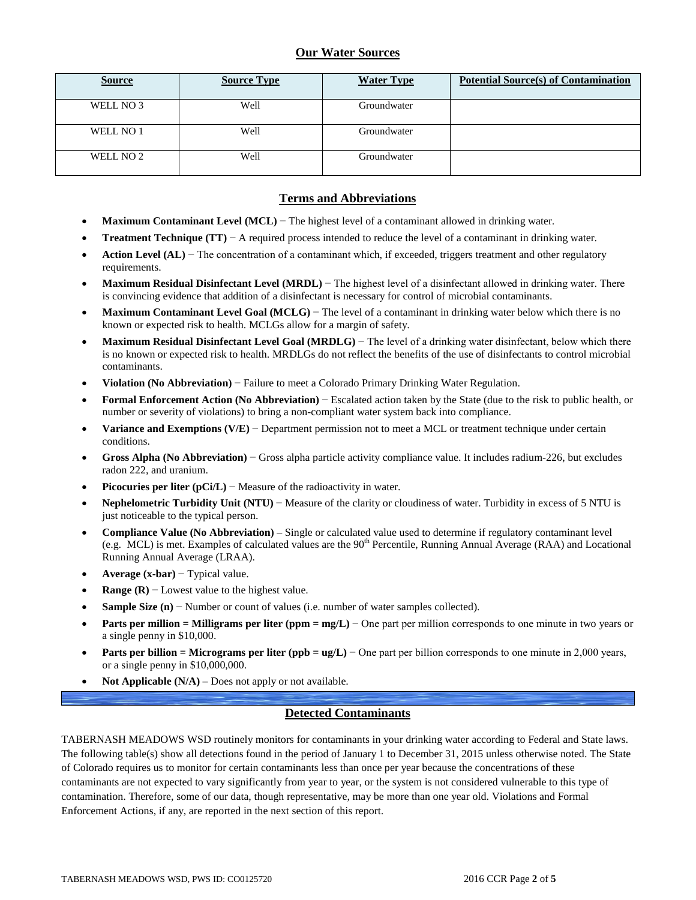## **Our Water Sources**

| <b>Source</b> | <b>Source Type</b> | <b>Water Type</b> | <b>Potential Source(s) of Contamination</b> |
|---------------|--------------------|-------------------|---------------------------------------------|
| WELL NO 3     | Well               | Groundwater       |                                             |
| WELL NO 1     | Well               | Groundwater       |                                             |
| WELL NO 2     | Well               | Groundwater       |                                             |

### **Terms and Abbreviations**

- **Maximum Contaminant Level (MCL)** − The highest level of a contaminant allowed in drinking water.
- **Treatment Technique (TT)** − A required process intended to reduce the level of a contaminant in drinking water.
- **Action Level (AL)** − The concentration of a contaminant which, if exceeded, triggers treatment and other regulatory requirements.
- **Maximum Residual Disinfectant Level (MRDL)** The highest level of a disinfectant allowed in drinking water. There is convincing evidence that addition of a disinfectant is necessary for control of microbial contaminants.
- **Maximum Contaminant Level Goal (MCLG)** − The level of a contaminant in drinking water below which there is no known or expected risk to health. MCLGs allow for a margin of safety.
- **Maximum Residual Disinfectant Level Goal (MRDLG)** − The level of a drinking water disinfectant, below which there is no known or expected risk to health. MRDLGs do not reflect the benefits of the use of disinfectants to control microbial contaminants.
- **Violation (No Abbreviation)** − Failure to meet a Colorado Primary Drinking Water Regulation.
- **Formal Enforcement Action (No Abbreviation)** − Escalated action taken by the State (due to the risk to public health, or number or severity of violations) to bring a non-compliant water system back into compliance.
- **Variance and Exemptions (V/E)** − Department permission not to meet a MCL or treatment technique under certain conditions.
- **Gross Alpha (No Abbreviation)** − Gross alpha particle activity compliance value. It includes radium-226, but excludes radon 222, and uranium.
- **Picocuries per liter**  $(pCi/L)$  − Measure of the radioactivity in water.
- **Nephelometric Turbidity Unit (NTU)** − Measure of the clarity or cloudiness of water. Turbidity in excess of 5 NTU is just noticeable to the typical person.
- **Compliance Value (No Abbreviation)** Single or calculated value used to determine if regulatory contaminant level (e.g. MCL) is met. Examples of calculated values are the  $90<sup>th</sup>$  Percentile, Running Annual Average (RAA) and Locational Running Annual Average (LRAA).
- **Average (x-bar)** − Typical value.
- **Range (R)**  $-$  Lowest value to the highest value.
- **Sample Size (n)** − Number or count of values (i.e. number of water samples collected).
- **Parts per million = Milligrams per liter (ppm = mg/L)** − One part per million corresponds to one minute in two years or a single penny in \$10,000.
- **Parts per billion = Micrograms per liter (ppb = ug/L)** − One part per billion corresponds to one minute in 2,000 years, or a single penny in \$10,000,000.
- **Not Applicable (N/A)** Does not apply or not available.

## **Detected Contaminants**

TABERNASH MEADOWS WSD routinely monitors for contaminants in your drinking water according to Federal and State laws. The following table(s) show all detections found in the period of January 1 to December 31, 2015 unless otherwise noted. The State of Colorado requires us to monitor for certain contaminants less than once per year because the concentrations of these contaminants are not expected to vary significantly from year to year, or the system is not considered vulnerable to this type of contamination. Therefore, some of our data, though representative, may be more than one year old. Violations and Formal Enforcement Actions, if any, are reported in the next section of this report.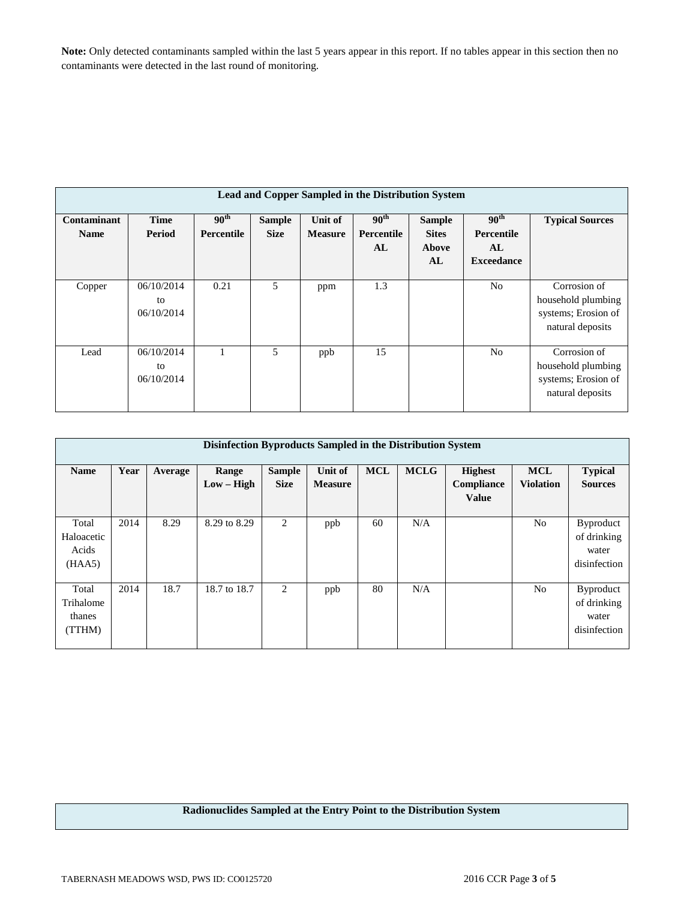**Note:** Only detected contaminants sampled within the last 5 years appear in this report. If no tables appear in this section then no contaminants were detected in the last round of monitoring.

| <b>Lead and Copper Sampled in the Distribution System</b> |                                |                                       |                              |                           |                                      |                                              |                                                           |                                                                               |  |
|-----------------------------------------------------------|--------------------------------|---------------------------------------|------------------------------|---------------------------|--------------------------------------|----------------------------------------------|-----------------------------------------------------------|-------------------------------------------------------------------------------|--|
| Contaminant<br><b>Name</b>                                | <b>Time</b><br>Period          | 90 <sup>th</sup><br><b>Percentile</b> | <b>Sample</b><br><b>Size</b> | Unit of<br><b>Measure</b> | 90 <sup>th</sup><br>Percentile<br>AL | <b>Sample</b><br><b>Sites</b><br>Above<br>AL | 90 <sup>th</sup><br>Percentile<br>AL<br><b>Exceedance</b> | <b>Typical Sources</b>                                                        |  |
| Copper                                                    | 06/10/2014<br>to<br>06/10/2014 | 0.21                                  | 5                            | ppm                       | 1.3                                  |                                              | N <sub>0</sub>                                            | Corrosion of<br>household plumbing<br>systems; Erosion of<br>natural deposits |  |
| Lead                                                      | 06/10/2014<br>to<br>06/10/2014 |                                       | 5                            | ppb                       | 15                                   |                                              | No                                                        | Corrosion of<br>household plumbing<br>systems; Erosion of<br>natural deposits |  |

| Disinfection Byproducts Sampled in the Distribution System |      |         |                       |                              |                           |            |             |                                              |                                |                                                          |  |
|------------------------------------------------------------|------|---------|-----------------------|------------------------------|---------------------------|------------|-------------|----------------------------------------------|--------------------------------|----------------------------------------------------------|--|
| <b>Name</b>                                                | Year | Average | Range<br>$Low - High$ | <b>Sample</b><br><b>Size</b> | Unit of<br><b>Measure</b> | <b>MCL</b> | <b>MCLG</b> | <b>Highest</b><br>Compliance<br><b>Value</b> | <b>MCL</b><br><b>Violation</b> | <b>Typical</b><br><b>Sources</b>                         |  |
| Total<br>Haloacetic<br>Acids<br>(HAA5)                     | 2014 | 8.29    | 8.29 to 8.29          | 2                            | ppb                       | 60         | N/A         |                                              | No                             | <b>Byproduct</b><br>of drinking<br>water<br>disinfection |  |
| Total<br>Trihalome<br>thanes<br>(TTHM)                     | 2014 | 18.7    | 18.7 to 18.7          | 2                            | ppb                       | 80         | N/A         |                                              | N <sub>0</sub>                 | <b>Byproduct</b><br>of drinking<br>water<br>disinfection |  |

**Radionuclides Sampled at the Entry Point to the Distribution System**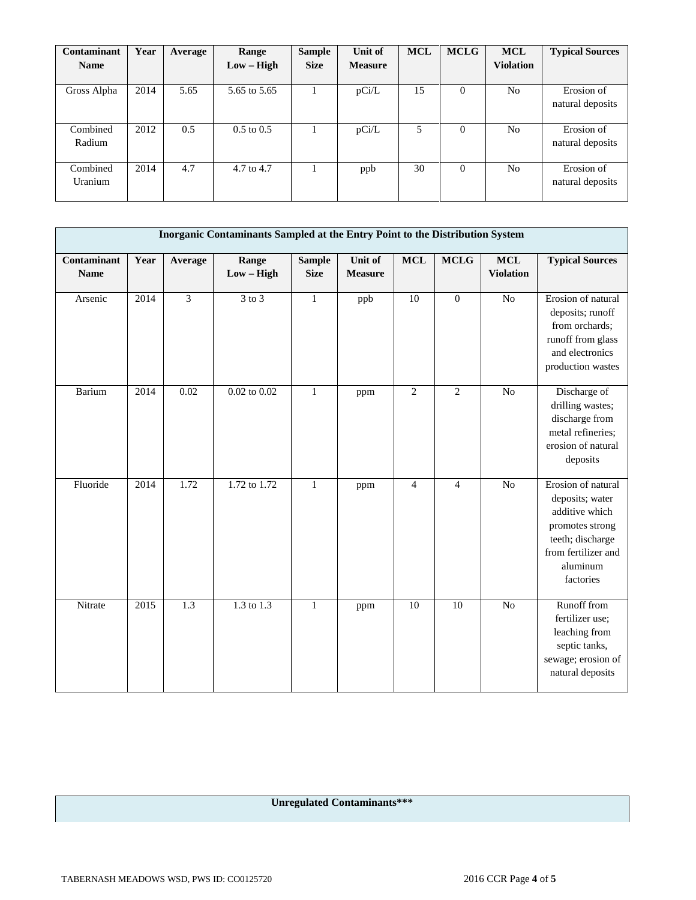| Contaminant | Year | Average | Range                 | <b>Sample</b> | Unit of        | <b>MCL</b> | <b>MCLG</b> | <b>MCL</b>       | <b>Typical Sources</b> |
|-------------|------|---------|-----------------------|---------------|----------------|------------|-------------|------------------|------------------------|
| <b>Name</b> |      |         | $Low - High$          | <b>Size</b>   | <b>Measure</b> |            |             | <b>Violation</b> |                        |
|             |      |         |                       |               |                |            |             |                  |                        |
| Gross Alpha | 2014 | 5.65    | 5.65 to 5.65          |               | pCi/L          | 15         | $\Omega$    | N <sub>0</sub>   | Erosion of             |
|             |      |         |                       |               |                |            |             |                  | natural deposits       |
|             |      |         |                       |               |                |            |             |                  |                        |
| Combined    | 2012 | 0.5     | $0.5 \text{ to } 0.5$ |               | pCi/L          | 5          | $\Omega$    | N <sub>0</sub>   | Erosion of             |
| Radium      |      |         |                       |               |                |            |             |                  | natural deposits       |
|             |      |         |                       |               |                |            |             |                  |                        |
| Combined    | 2014 | 4.7     | 4.7 to 4.7            |               | ppb            | 30         | $\Omega$    | N <sub>o</sub>   | Erosion of             |
| Uranium     |      |         |                       |               |                |            |             |                  | natural deposits       |
|             |      |         |                       |               |                |            |             |                  |                        |

| Inorganic Contaminants Sampled at the Entry Point to the Distribution System |      |                  |                                      |                              |                           |                |                 |                                |                                                                                                                                                |  |
|------------------------------------------------------------------------------|------|------------------|--------------------------------------|------------------------------|---------------------------|----------------|-----------------|--------------------------------|------------------------------------------------------------------------------------------------------------------------------------------------|--|
| Contaminant<br><b>Name</b>                                                   | Year | Average          | Range<br>$Low - High$                | <b>Sample</b><br><b>Size</b> | Unit of<br><b>Measure</b> | <b>MCL</b>     | <b>MCLG</b>     | <b>MCL</b><br><b>Violation</b> | <b>Typical Sources</b>                                                                                                                         |  |
| Arsenic                                                                      | 2014 | 3                | $3$ to $3$                           | $\mathbf{1}$                 | ppb                       | 10             | $\overline{0}$  | N <sub>o</sub>                 | Erosion of natural<br>deposits; runoff<br>from orchards;<br>runoff from glass<br>and electronics<br>production wastes                          |  |
| Barium                                                                       | 2014 | 0.02             | $0.02$ to $0.02$                     | $\mathbf{1}$                 | ppm                       | $\overline{2}$ | 2               | N <sub>o</sub>                 | Discharge of<br>drilling wastes;<br>discharge from<br>metal refineries;<br>erosion of natural<br>deposits                                      |  |
| Fluoride                                                                     | 2014 | 1.72             | 1.72 to 1.72                         | $\mathbf{1}$                 | ppm                       | $\overline{4}$ | $\overline{4}$  | No                             | Erosion of natural<br>deposits; water<br>additive which<br>promotes strong<br>teeth; discharge<br>from fertilizer and<br>aluminum<br>factories |  |
| Nitrate                                                                      | 2015 | $\overline{1.3}$ | $1.\overline{3}$ to $1.\overline{3}$ | $\mathbf{1}$                 | ppm                       | 10             | $\overline{10}$ | No                             | Runoff from<br>fertilizer use;<br>leaching from<br>septic tanks,<br>sewage; erosion of<br>natural deposits                                     |  |

# **Unregulated Contaminants\*\*\***